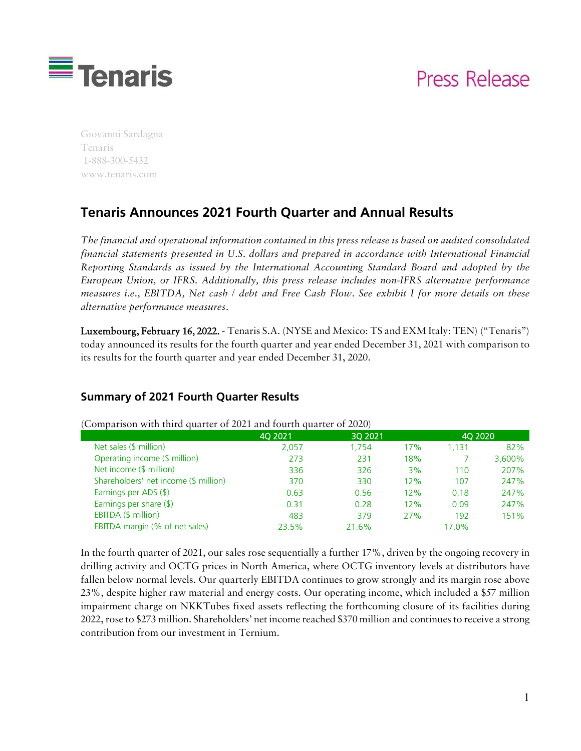

# Press Release

Giovanni Sardagna Tenaris 1-888-300-5432 www.tenaris.com

# **Tenaris Announces 2021 Fourth Quarter and Annual Results**

*The financial and operational information contained in this press release is based on audited consolidated financial statements presented in U.S. dollars and prepared in accordance with International Financial Reporting Standards as issued by the International Accounting Standard Board and adopted by the European Union, or IFRS. Additionally, this press release includes non-IFRS alternative performance measures i.e., EBITDA, Net cash / debt and Free Cash Flow. See exhibit I for more details on these alternative performance measures.*

Luxembourg, February 16, 2022. - Tenaris S.A. (NYSE and Mexico: TS and EXM Italy: TEN) ("Tenaris") today announced its results for the fourth quarter and year ended December 31, 2021 with comparison to its results for the fourth quarter and year ended December 31, 2020.

#### **Summary of 2021 Fourth Quarter Results**

|                                       | 40 2021 | 3Q 2021 |     | 4Q 2020 |        |
|---------------------------------------|---------|---------|-----|---------|--------|
| Net sales $(\frac{1}{2})$ million)    | 2,057   | 1.754   | 17% | l.131   | 82%    |
| Operating income (\$ million)         | 273     | 231     | 18% |         | 3,600% |
| Net income $($ million $)$            | 336     | 326     | 3%  | 110     | 207%   |
| Shareholders' net income (\$ million) | 370     | 330     | 12% | 107     | 247%   |
| Earnings per ADS (\$)                 | 0.63    | 0.56    | 12% | 0.18    | 247%   |
| Earnings per share $(\$)$             | 0.31    | 0.28    | 12% | 0.09    | 247%   |
| EBITDA (\$ million)                   | 483     | 379     | 27% | 192     | 151%   |
| EBITDA margin (% of net sales)        | 23.5%   | 21.6%   |     | 17.0%   |        |

(Comparison with third quarter of 2021 and fourth quarter of 2020)

In the fourth quarter of 2021, our sales rose sequentially a further 17%, driven by the ongoing recovery in drilling activity and OCTG prices in North America, where OCTG inventory levels at distributors have fallen below normal levels. Our quarterly EBITDA continues to grow strongly and its margin rose above 23%, despite higher raw material and energy costs. Our operating income, which included a \$57 million impairment charge on NKKTubes fixed assets reflecting the forthcoming closure of its facilities during 2022, rose to \$273 million. Shareholders' net income reached \$370 million and continues to receive a strong contribution from our investment in Ternium.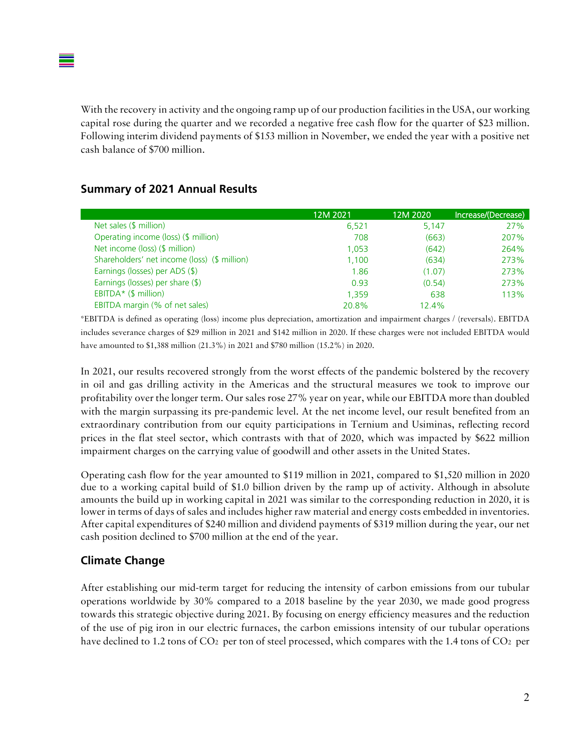With the recovery in activity and the ongoing ramp up of our production facilities in the USA, our working capital rose during the quarter and we recorded a negative free cash flow for the quarter of \$23 million. Following interim dividend payments of \$153 million in November, we ended the year with a positive net cash balance of \$700 million.

#### **Summary of 2021 Annual Results**

|                                              | 12M 2021 | 12M 2020 | Increase/(Decrease) |
|----------------------------------------------|----------|----------|---------------------|
| Net sales (\$ million)                       | 6,521    | 5,147    | 27%                 |
| Operating income (loss) (\$ million)         | 708      | (663)    | 207%                |
| Net income (loss) (\$ million)               | 1.053    | (642)    | 264%                |
| Shareholders' net income (loss) (\$ million) | 1,100    | (634)    | 273%                |
| Earnings (losses) per ADS (\$)               | 1.86     | (1.07)   | 273%                |
| Earnings (losses) per share (\$)             | 0.93     | (0.54)   | 273%                |
| EBITDA* $(\$$ million)                       | 1.359    | 638      | 113%                |
| EBITDA margin (% of net sales)               | 20.8%    | 12.4%    |                     |

\*EBITDA is defined as operating (loss) income plus depreciation, amortization and impairment charges / (reversals). EBITDA includes severance charges of \$29 million in 2021 and \$142 million in 2020. If these charges were not included EBITDA would have amounted to \$1,388 million (21.3%) in 2021 and \$780 million (15.2%) in 2020.

In 2021, our results recovered strongly from the worst effects of the pandemic bolstered by the recovery in oil and gas drilling activity in the Americas and the structural measures we took to improve our profitability over the longer term. Our sales rose 27% year on year, while our EBITDA more than doubled with the margin surpassing its pre-pandemic level. At the net income level, our result benefited from an extraordinary contribution from our equity participations in Ternium and Usiminas, reflecting record prices in the flat steel sector, which contrasts with that of 2020, which was impacted by \$622 million impairment charges on the carrying value of goodwill and other assets in the United States.

Operating cash flow for the year amounted to \$119 million in 2021, compared to \$1,520 million in 2020 due to a working capital build of \$1.0 billion driven by the ramp up of activity. Although in absolute amounts the build up in working capital in 2021 was similar to the corresponding reduction in 2020, it is lower in terms of days of sales and includes higher raw material and energy costs embedded in inventories. After capital expenditures of \$240 million and dividend payments of \$319 million during the year, our net cash position declined to \$700 million at the end of the year.

#### **Climate Change**

After establishing our mid-term target for reducing the intensity of carbon emissions from our tubular operations worldwide by 30% compared to a 2018 baseline by the year 2030, we made good progress towards this strategic objective during 2021. By focusing on energy efficiency measures and the reduction of the use of pig iron in our electric furnaces, the carbon emissions intensity of our tubular operations have declined to 1.2 tons of CO<sub>2</sub> per ton of steel processed, which compares with the 1.4 tons of CO<sub>2</sub> per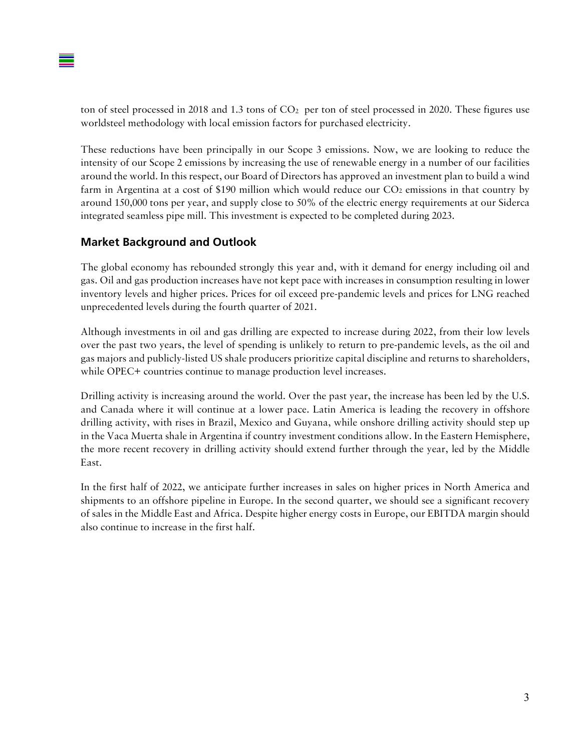ton of steel processed in 2018 and 1.3 tons of  $CO<sub>2</sub>$  per ton of steel processed in 2020. These figures use worldsteel methodology with local emission factors for purchased electricity.

These reductions have been principally in our Scope 3 emissions. Now, we are looking to reduce the intensity of our Scope 2 emissions by increasing the use of renewable energy in a number of our facilities around the world. In this respect, our Board of Directors has approved an investment plan to build a wind farm in Argentina at a cost of \$190 million which would reduce our  $CO<sub>2</sub>$  emissions in that country by around 150,000 tons per year, and supply close to 50% of the electric energy requirements at our Siderca integrated seamless pipe mill. This investment is expected to be completed during 2023.

#### **Market Background and Outlook**

The global economy has rebounded strongly this year and, with it demand for energy including oil and gas. Oil and gas production increases have not kept pace with increases in consumption resulting in lower inventory levels and higher prices. Prices for oil exceed pre-pandemic levels and prices for LNG reached unprecedented levels during the fourth quarter of 2021.

Although investments in oil and gas drilling are expected to increase during 2022, from their low levels over the past two years, the level of spending is unlikely to return to pre-pandemic levels, as the oil and gas majors and publicly-listed US shale producers prioritize capital discipline and returns to shareholders, while OPEC+ countries continue to manage production level increases.

Drilling activity is increasing around the world. Over the past year, the increase has been led by the U.S. and Canada where it will continue at a lower pace. Latin America is leading the recovery in offshore drilling activity, with rises in Brazil, Mexico and Guyana, while onshore drilling activity should step up in the Vaca Muerta shale in Argentina if country investment conditions allow. In the Eastern Hemisphere, the more recent recovery in drilling activity should extend further through the year, led by the Middle East.

In the first half of 2022, we anticipate further increases in sales on higher prices in North America and shipments to an offshore pipeline in Europe. In the second quarter, we should see a significant recovery of sales in the Middle East and Africa. Despite higher energy costs in Europe, our EBITDA margin should also continue to increase in the first half.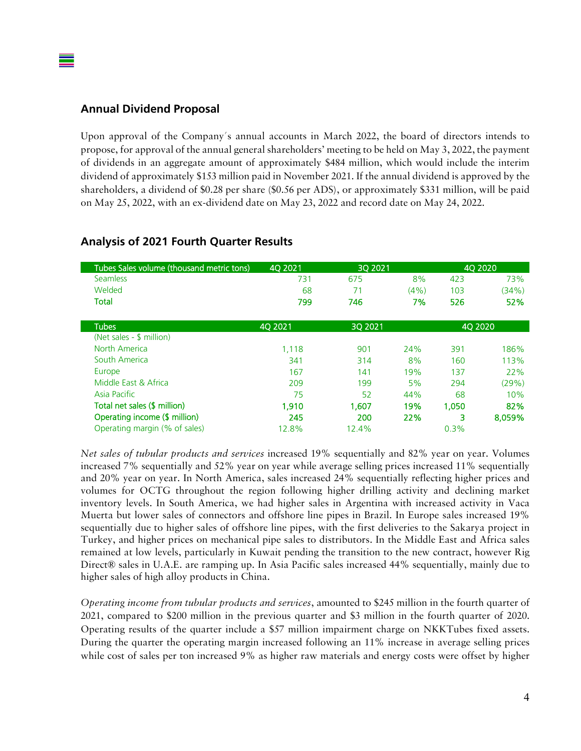#### **Annual Dividend Proposal**

Upon approval of the Company´s annual accounts in March 2022, the board of directors intends to propose, for approval of the annual general shareholders' meeting to be held on May 3, 2022, the payment of dividends in an aggregate amount of approximately \$484 million, which would include the interim dividend of approximately \$153 million paid in November 2021. If the annual dividend is approved by the shareholders, a dividend of \$0.28 per share (\$0.56 per ADS), or approximately \$331 million, will be paid on May 25, 2022, with an ex-dividend date on May 23, 2022 and record date on May 24, 2022.

| Tubes Sales volume (thousand metric tons) | 4Q 2021 | 30 20 21 |         |                | 4Q 2020 |
|-------------------------------------------|---------|----------|---------|----------------|---------|
| <b>Seamless</b>                           | 731     | 675      | 8%      | 423            | 73%     |
| Welded                                    | 68      | 71       | $(4\%)$ | 103            | (34%)   |
| <b>Total</b>                              | 799     | 746      | 7%      | 526            | 52%     |
| <b>Tubes</b>                              | 40 2021 | 3Q 2021  |         | <b>40 2020</b> |         |
| (Net sales - \$ million)                  |         |          |         |                |         |
| North America                             | 1,118   | 901      | 24%     | 391            | 186%    |
| South America                             | 341     | 314      | 8%      | 160            | 113%    |
| Europe                                    | 167     | 141      | 19%     | 137            | 22%     |
| Middle East & Africa                      | 209     | 199      | 5%      | 294            | (29%)   |
| Asia Pacific                              | 75      | 52       | 44%     | 68             | 10%     |
| Total net sales (\$ million)              | 1.910   | 1.607    | 19%     | 1.050          | 82%     |
| Operating income (\$ million)             | 245     | 200      | 22%     | з              | 8,059%  |
| Operating margin (% of sales)             | 12.8%   | 12.4%    |         | 0.3%           |         |

#### **Analysis of 2021 Fourth Quarter Results**

*Net sales of tubular products and services* increased 19% sequentially and 82% year on year. Volumes increased 7% sequentially and 52% year on year while average selling prices increased 11% sequentially and 20% year on year. In North America, sales increased 24% sequentially reflecting higher prices and volumes for OCTG throughout the region following higher drilling activity and declining market inventory levels. In South America, we had higher sales in Argentina with increased activity in Vaca Muerta but lower sales of connectors and offshore line pipes in Brazil. In Europe sales increased 19% sequentially due to higher sales of offshore line pipes, with the first deliveries to the Sakarya project in Turkey, and higher prices on mechanical pipe sales to distributors. In the Middle East and Africa sales remained at low levels, particularly in Kuwait pending the transition to the new contract, however Rig Direct® sales in U.A.E. are ramping up. In Asia Pacific sales increased 44% sequentially, mainly due to higher sales of high alloy products in China.

*Operating income from tubular products and services*, amounted to \$245 million in the fourth quarter of 2021, compared to \$200 million in the previous quarter and \$3 million in the fourth quarter of 2020. Operating results of the quarter include a \$57 million impairment charge on NKKTubes fixed assets. During the quarter the operating margin increased following an 11% increase in average selling prices while cost of sales per ton increased 9% as higher raw materials and energy costs were offset by higher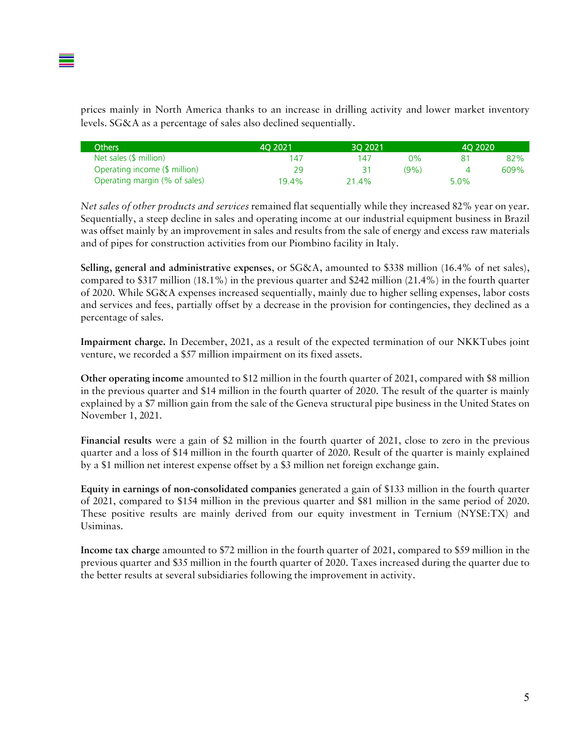prices mainly in North America thanks to an increase in drilling activity and lower market inventory levels. SG&A as a percentage of sales also declined sequentially.

| <b>Others</b>                 | 40 20 21 | 30 20 21 |      | 40 20 20 |      |
|-------------------------------|----------|----------|------|----------|------|
| Net sales (\$ million)        | 147      | 147      | ጋ%   |          | 82%  |
| Operating income (\$ million) | 29       |          | (9%) |          | 609% |
| Operating margin (% of sales) | 19.4%    | 21.4%    |      | $5.0\%$  |      |

*Net sales of other products and services* remained flat sequentially while they increased 82% year on year. Sequentially, a steep decline in sales and operating income at our industrial equipment business in Brazil was offset mainly by an improvement in sales and results from the sale of energy and excess raw materials and of pipes for construction activities from our Piombino facility in Italy.

Selling, general and administrative expenses, or SG&A, amounted to \$338 million (16.4% of net sales), compared to \$317 million (18.1%) in the previous quarter and \$242 million (21.4%) in the fourth quarter of 2020. While SG&A expenses increased sequentially, mainly due to higher selling expenses, labor costs and services and fees, partially offset by a decrease in the provision for contingencies, they declined as a percentage of sales.

Impairment charge. In December, 2021, as a result of the expected termination of our NKKTubes joint venture, we recorded a \$57 million impairment on its fixed assets.

Other operating income amounted to \$12 million in the fourth quarter of 2021, compared with \$8 million in the previous quarter and \$14 million in the fourth quarter of 2020. The result of the quarter is mainly explained by a \$7 million gain from the sale of the Geneva structural pipe business in the United States on November 1, 2021.

Financial results were a gain of \$2 million in the fourth quarter of 2021, close to zero in the previous quarter and a loss of \$14 million in the fourth quarter of 2020. Result of the quarter is mainly explained by a \$1 million net interest expense offset by a \$3 million net foreign exchange gain.

Equity in earnings of non-consolidated companies generated a gain of \$133 million in the fourth quarter of 2021, compared to \$154 million in the previous quarter and \$81 million in the same period of 2020. These positive results are mainly derived from our equity investment in Ternium (NYSE:TX) and Usiminas.

Income tax charge amounted to \$72 million in the fourth quarter of 2021, compared to \$59 million in the previous quarter and \$35 million in the fourth quarter of 2020. Taxes increased during the quarter due to the better results at several subsidiaries following the improvement in activity.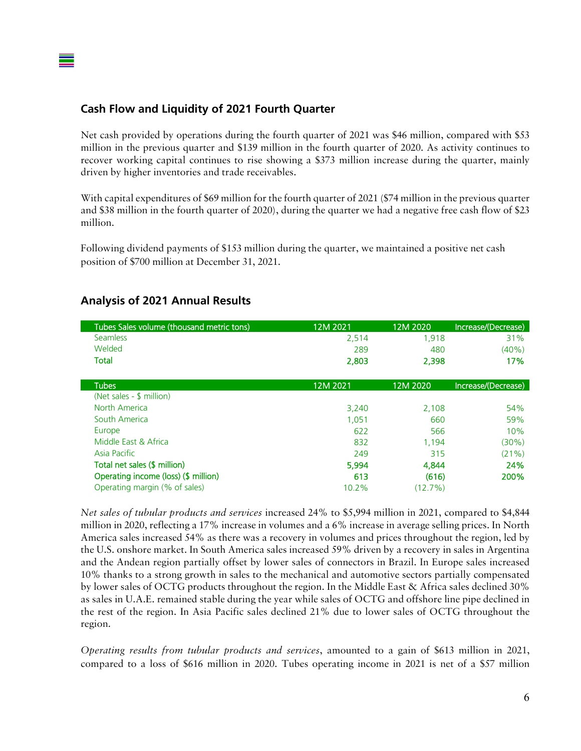### **Cash Flow and Liquidity of 2021 Fourth Quarter**

Net cash provided by operations during the fourth quarter of 2021 was \$46 million, compared with \$53 million in the previous quarter and \$139 million in the fourth quarter of 2020. As activity continues to recover working capital continues to rise showing a \$373 million increase during the quarter, mainly driven by higher inventories and trade receivables.

With capital expenditures of \$69 million for the fourth quarter of 2021 (\$74 million in the previous quarter and \$38 million in the fourth quarter of 2020), during the quarter we had a negative free cash flow of \$23 million.

Following dividend payments of \$153 million during the quarter, we maintained a positive net cash position of \$700 million at December 31, 2021.

| Tubes Sales volume (thousand metric tons) | 12M 2021 | 12M 2020 | Increase/(Decrease) |
|-------------------------------------------|----------|----------|---------------------|
| <b>Seamless</b>                           | 2,514    | 1,918    | 31%                 |
| Welded                                    | 289      | 480      | $(40\%)$            |
| Total                                     | 2,803    | 2,398    | 17%                 |
| <b>Tubes</b>                              | 12M 2021 | 12M 2020 | Increase/(Decrease) |
| (Net sales - \$ million)                  |          |          |                     |
| North America                             | 3,240    | 2,108    | 54%                 |
| South America                             | 1.051    | 660      | 59%                 |
| Europe                                    | 622      | 566      | 10%                 |
| Middle East & Africa                      | 832      | 1.194    | (30%)               |
| Asia Pacific                              | 249      | 315      | (21%)               |
| Total net sales (\$ million)              | 5.994    | 4,844    | 24%                 |
| Operating income (loss) (\$ million)      | 613      | (616)    | 200%                |
| Operating margin (% of sales)             | 10.2%    | (12.7%)  |                     |

#### **Analysis of 2021 Annual Results**

*Net sales of tubular products and services* increased 24% to \$5,994 million in 2021, compared to \$4,844 million in 2020, reflecting a 17% increase in volumes and a 6% increase in average selling prices. In North America sales increased 54% as there was a recovery in volumes and prices throughout the region, led by the U.S. onshore market. In South America sales increased 59% driven by a recovery in sales in Argentina and the Andean region partially offset by lower sales of connectors in Brazil. In Europe sales increased 10% thanks to a strong growth in sales to the mechanical and automotive sectors partially compensated by lower sales of OCTG products throughout the region. In the Middle East & Africa sales declined 30% as sales in U.A.E. remained stable during the year while sales of OCTG and offshore line pipe declined in the rest of the region. In Asia Pacific sales declined 21% due to lower sales of OCTG throughout the region.

*Operating results from tubular products and services*, amounted to a gain of \$613 million in 2021, compared to a loss of \$616 million in 2020. Tubes operating income in 2021 is net of a \$57 million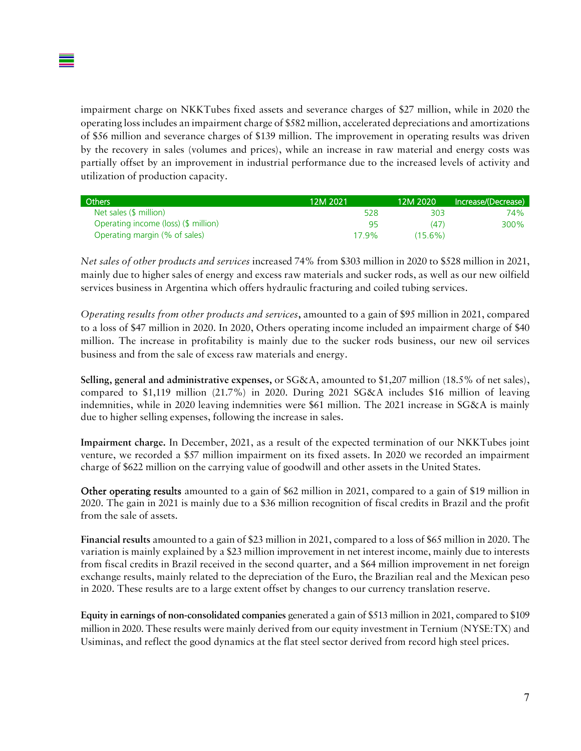impairment charge on NKKTubes fixed assets and severance charges of \$27 million, while in 2020 the operating loss includes an impairment charge of \$582 million, accelerated depreciations and amortizations of \$56 million and severance charges of \$139 million. The improvement in operating results was driven by the recovery in sales (volumes and prices), while an increase in raw material and energy costs was partially offset by an improvement in industrial performance due to the increased levels of activity and utilization of production capacity.

| Others                               | 12M 2021 | 12M 2020   | Increase/(Decrease) |
|--------------------------------------|----------|------------|---------------------|
| Net sales (\$ million)               | 528      | 303        | 74%                 |
| Operating income (loss) (\$ million) | 95       | (47)       | 300%                |
| Operating margin (% of sales)        | 179%     | $(15.6\%)$ |                     |

*Net sales of other products and services* increased 74% from \$303 million in 2020 to \$528 million in 2021, mainly due to higher sales of energy and excess raw materials and sucker rods, as well as our new oilfield services business in Argentina which offers hydraulic fracturing and coiled tubing services.

*Operating results from other products and services*, amounted to a gain of \$95 million in 2021, compared to a loss of \$47 million in 2020. In 2020, Others operating income included an impairment charge of \$40 million. The increase in profitability is mainly due to the sucker rods business, our new oil services business and from the sale of excess raw materials and energy.

Selling, general and administrative expenses, or SG&A, amounted to \$1,207 million (18.5% of net sales), compared to \$1,119 million (21.7%) in 2020. During 2021 SG&A includes \$16 million of leaving indemnities, while in 2020 leaving indemnities were \$61 million. The 2021 increase in SG&A is mainly due to higher selling expenses, following the increase in sales.

Impairment charge. In December, 2021, as a result of the expected termination of our NKKTubes joint venture, we recorded a \$57 million impairment on its fixed assets. In 2020 we recorded an impairment charge of \$622 million on the carrying value of goodwill and other assets in the United States.

Other operating results amounted to a gain of \$62 million in 2021, compared to a gain of \$19 million in 2020. The gain in 2021 is mainly due to a \$36 million recognition of fiscal credits in Brazil and the profit from the sale of assets.

Financial results amounted to a gain of \$23 million in 2021, compared to a loss of \$65 million in 2020. The variation is mainly explained by a \$23 million improvement in net interest income, mainly due to interests from fiscal credits in Brazil received in the second quarter, and a \$64 million improvement in net foreign exchange results, mainly related to the depreciation of the Euro, the Brazilian real and the Mexican peso in 2020. These results are to a large extent offset by changes to our currency translation reserve.

Equity in earnings of non-consolidated companies generated a gain of \$513 million in 2021, compared to \$109 million in 2020. These results were mainly derived from our equity investment in Ternium (NYSE:TX) and Usiminas, and reflect the good dynamics at the flat steel sector derived from record high steel prices.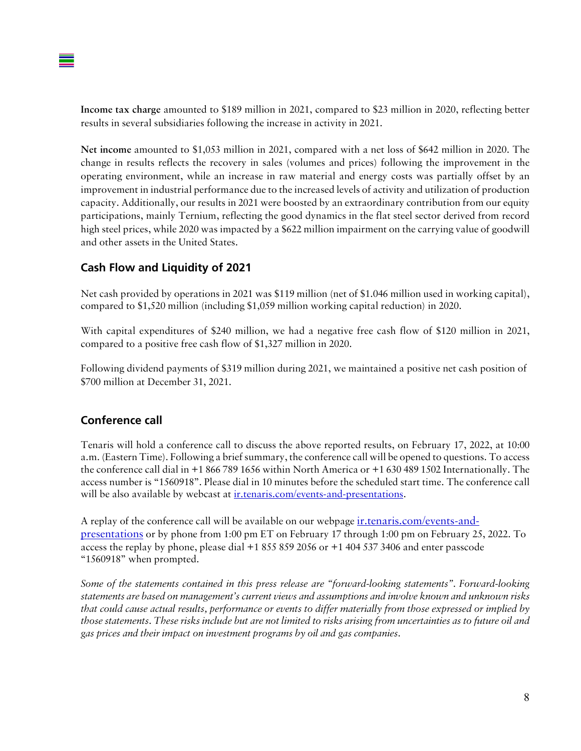Income tax charge amounted to \$189 million in 2021, compared to \$23 million in 2020, reflecting better results in several subsidiaries following the increase in activity in 2021.

Net income amounted to \$1,053 million in 2021, compared with a net loss of \$642 million in 2020. The change in results reflects the recovery in sales (volumes and prices) following the improvement in the operating environment, while an increase in raw material and energy costs was partially offset by an improvement in industrial performance due to the increased levels of activity and utilization of production capacity. Additionally, our results in 2021 were boosted by an extraordinary contribution from our equity participations, mainly Ternium, reflecting the good dynamics in the flat steel sector derived from record high steel prices, while 2020 was impacted by a \$622 million impairment on the carrying value of goodwill and other assets in the United States.

### **Cash Flow and Liquidity of 2021**

Net cash provided by operations in 2021 was \$119 million (net of \$1.046 million used in working capital), compared to \$1,520 million (including \$1,059 million working capital reduction) in 2020.

With capital expenditures of \$240 million, we had a negative free cash flow of \$120 million in 2021, compared to a positive free cash flow of \$1,327 million in 2020.

Following dividend payments of \$319 million during 2021, we maintained a positive net cash position of \$700 million at December 31, 2021.

#### **Conference call**

Tenaris will hold a conference call to discuss the above reported results, on February 17, 2022, at 10:00 a.m. (Eastern Time). Following a brief summary, the conference call will be opened to questions. To access the conference call dial in +1 866 789 1656 within North America or +1 630 489 1502 Internationally. The access number is "1560918". Please dial in 10 minutes before the scheduled start time. The conference call will be also available by webcast at intenaris.com/events-and-presentations.

A replay of the conference call will be available on our webpage ir.tenaris.com/events-andpresentations or by phone from 1:00 pm ET on February 17 through 1:00 pm on February 25, 2022. To access the replay by phone, please dial +1 855 859 2056 or +1 404 537 3406 and enter passcode "1560918" when prompted.

*Some of the statements contained in this press release are "forward-looking statements". Forward-looking statements are based on management's current views and assumptions and involve known and unknown risks that could cause actual results, performance or events to differ materially from those expressed or implied by those statements. These risks include but are not limited to risks arising from uncertainties as to future oil and gas prices and their impact on investment programs by oil and gas companies.*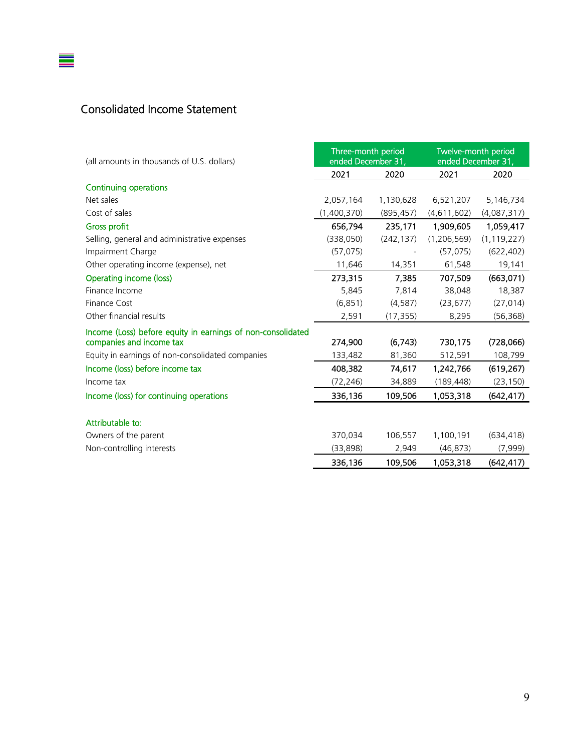## Consolidated Income Statement

 $\equiv$ 

| (all amounts in thousands of U.S. dollars)                                              | Three-month period<br>ended December 31, |            | Twelve-month period<br>ended December 31, |               |
|-----------------------------------------------------------------------------------------|------------------------------------------|------------|-------------------------------------------|---------------|
|                                                                                         | 2021                                     | 2020       | 2021                                      | 2020          |
| <b>Continuing operations</b>                                                            |                                          |            |                                           |               |
| Net sales                                                                               | 2,057,164                                | 1,130,628  | 6,521,207                                 | 5,146,734     |
| Cost of sales                                                                           | (1,400,370)                              | (895, 457) | (4,611,602)                               | (4,087,317)   |
| <b>Gross profit</b>                                                                     | 656,794                                  | 235,171    | 1,909,605                                 | 1,059,417     |
| Selling, general and administrative expenses                                            | (338,050)                                | (242, 137) | (1,206,569)                               | (1, 119, 227) |
| Impairment Charge                                                                       | (57, 075)                                |            | (57, 075)                                 | (622, 402)    |
| Other operating income (expense), net                                                   | 11,646                                   | 14,351     | 61,548                                    | 19,141        |
| Operating income (loss)                                                                 | 273,315                                  | 7,385      | 707,509                                   | (663,071)     |
| Finance Income                                                                          | 5,845                                    | 7,814      | 38,048                                    | 18,387        |
| Finance Cost                                                                            | (6, 851)                                 | (4, 587)   | (23, 677)                                 | (27, 014)     |
| Other financial results                                                                 | 2,591                                    | (17, 355)  | 8,295                                     | (56, 368)     |
| Income (Loss) before equity in earnings of non-consolidated<br>companies and income tax | 274,900                                  | (6, 743)   | 730,175                                   | (728,066)     |
| Equity in earnings of non-consolidated companies                                        | 133,482                                  | 81,360     | 512,591                                   | 108,799       |
| Income (loss) before income tax                                                         | 408,382                                  | 74,617     | 1,242,766                                 | (619, 267)    |
| Income tax                                                                              | (72, 246)                                | 34,889     | (189, 448)                                | (23, 150)     |
| Income (loss) for continuing operations                                                 | 336,136                                  | 109,506    | 1,053,318                                 | (642, 417)    |
| Attributable to:                                                                        |                                          |            |                                           |               |
| Owners of the parent                                                                    | 370,034                                  | 106,557    | 1,100,191                                 | (634, 418)    |
| Non-controlling interests                                                               | (33,898)                                 | 2,949      | (46, 873)                                 | (7,999)       |
|                                                                                         | 336,136                                  | 109,506    | 1,053,318                                 | (642, 417)    |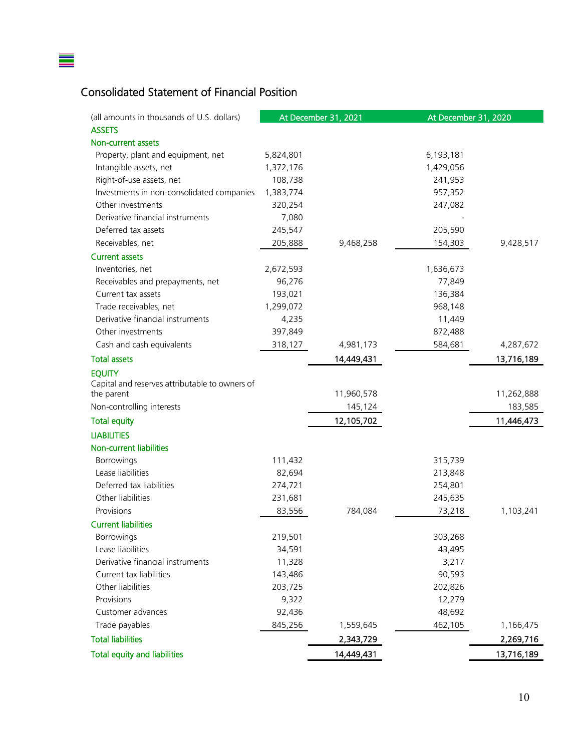# Consolidated Statement of Financial Position

 $\equiv$ 

| (all amounts in thousands of U.S. dollars)     |           | At December 31, 2021 | At December 31, 2020 |            |
|------------------------------------------------|-----------|----------------------|----------------------|------------|
| <b>ASSETS</b>                                  |           |                      |                      |            |
| Non-current assets                             |           |                      |                      |            |
| Property, plant and equipment, net             | 5,824,801 |                      | 6,193,181            |            |
| Intangible assets, net                         | 1,372,176 |                      | 1,429,056            |            |
| Right-of-use assets, net                       | 108,738   |                      | 241,953              |            |
| Investments in non-consolidated companies      | 1,383,774 |                      | 957,352              |            |
| Other investments                              | 320,254   |                      | 247,082              |            |
| Derivative financial instruments               | 7,080     |                      |                      |            |
| Deferred tax assets                            | 245,547   |                      | 205,590              |            |
| Receivables, net                               | 205,888   | 9,468,258            | 154,303              | 9,428,517  |
| <b>Current assets</b>                          |           |                      |                      |            |
| Inventories, net                               | 2,672,593 |                      | 1,636,673            |            |
| Receivables and prepayments, net               | 96,276    |                      | 77,849               |            |
| Current tax assets                             | 193,021   |                      | 136,384              |            |
| Trade receivables, net                         | 1,299,072 |                      | 968,148              |            |
| Derivative financial instruments               | 4,235     |                      | 11,449               |            |
| Other investments                              | 397,849   |                      | 872,488              |            |
| Cash and cash equivalents                      | 318,127   | 4,981,173            | 584,681              | 4,287,672  |
| <b>Total assets</b>                            |           | 14,449,431           |                      | 13,716,189 |
| <b>EQUITY</b>                                  |           |                      |                      |            |
| Capital and reserves attributable to owners of |           |                      |                      |            |
| the parent                                     |           | 11,960,578           |                      | 11,262,888 |
| Non-controlling interests                      |           | 145,124              |                      | 183,585    |
| <b>Total equity</b>                            |           | 12,105,702           |                      | 11,446,473 |
| <b>LIABILITIES</b>                             |           |                      |                      |            |
| Non-current liabilities                        |           |                      |                      |            |
| Borrowings                                     | 111,432   |                      | 315,739              |            |
| Lease liabilities                              | 82,694    |                      | 213,848              |            |
| Deferred tax liabilities                       | 274,721   |                      | 254,801              |            |
| Other liabilities                              | 231,681   |                      | 245,635              |            |
| Provisions                                     | 83,556    | 784,084              | 73,218               | 1,103,241  |
| <b>Current liabilities</b>                     |           |                      |                      |            |
| Borrowings                                     | 219,501   |                      | 303,268              |            |
| Lease liabilities                              | 34,591    |                      | 43,495               |            |
| Derivative financial instruments               | 11,328    |                      | 3,217                |            |
| Current tax liabilities                        | 143,486   |                      | 90,593               |            |
| Other liabilities                              | 203,725   |                      | 202,826              |            |
| Provisions                                     | 9,322     |                      | 12,279               |            |
| Customer advances                              | 92,436    |                      | 48,692               |            |
| Trade payables                                 | 845,256   | 1,559,645            | 462,105              | 1,166,475  |
| <b>Total liabilities</b>                       |           | 2,343,729            |                      | 2,269,716  |
| <b>Total equity and liabilities</b>            |           | 14,449,431           |                      | 13,716,189 |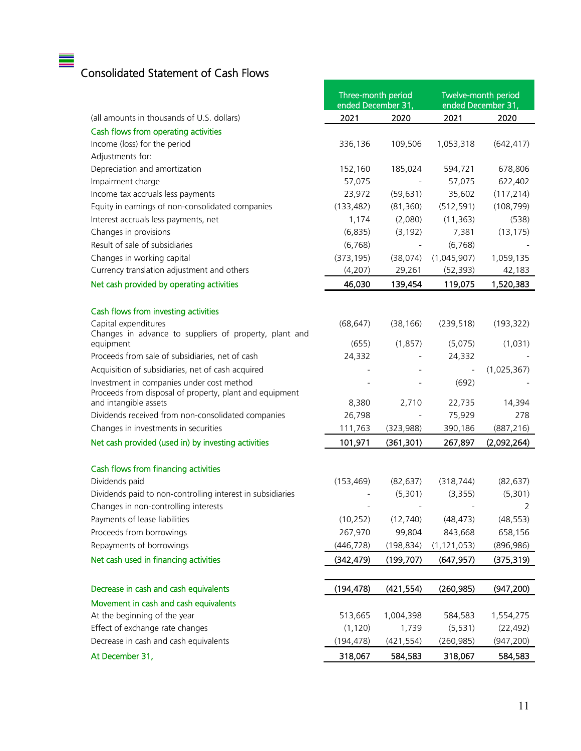# Consolidated Statement of Cash Flows

 $\equiv$ 

|                                                                                  | Three-month period<br>ended December 31, |                     | Twelve-month period<br>ended December 31, |                         |
|----------------------------------------------------------------------------------|------------------------------------------|---------------------|-------------------------------------------|-------------------------|
| (all amounts in thousands of U.S. dollars)                                       | 2021                                     | 2020                | 2021                                      | 2020                    |
| Cash flows from operating activities                                             |                                          |                     |                                           |                         |
| Income (loss) for the period                                                     | 336,136                                  | 109,506             | 1,053,318                                 | (642, 417)              |
| Adjustments for:                                                                 |                                          |                     |                                           |                         |
| Depreciation and amortization                                                    | 152,160                                  | 185,024             | 594,721                                   | 678,806                 |
| Impairment charge                                                                | 57,075                                   |                     | 57,075                                    | 622,402                 |
| Income tax accruals less payments                                                | 23,972                                   | (59, 631)           | 35,602                                    | (117, 214)              |
| Equity in earnings of non-consolidated companies                                 | (133, 482)                               | (81, 360)           | (512, 591)                                | (108, 799)              |
| Interest accruals less payments, net                                             | 1,174                                    | (2,080)             | (11, 363)                                 | (538)                   |
| Changes in provisions                                                            | (6,835)                                  | (3, 192)            | 7,381                                     | (13, 175)               |
| Result of sale of subsidiaries                                                   | (6, 768)                                 |                     | (6, 768)                                  |                         |
| Changes in working capital                                                       | (373, 195)                               | (38,074)            | (1,045,907)                               | 1,059,135               |
| Currency translation adjustment and others                                       | (4,207)                                  | 29,261              | (52, 393)                                 | 42,183                  |
| Net cash provided by operating activities                                        | 46,030                                   | 139,454             | 119,075                                   | 1,520,383               |
| Cash flows from investing activities                                             |                                          |                     |                                           |                         |
| Capital expenditures                                                             | (68, 647)                                | (38, 166)           | (239, 518)                                | (193, 322)              |
| Changes in advance to suppliers of property, plant and                           |                                          |                     |                                           |                         |
| equipment                                                                        | (655)                                    | (1,857)             | (5,075)                                   | (1,031)                 |
| Proceeds from sale of subsidiaries, net of cash                                  | 24,332                                   |                     | 24,332                                    |                         |
| Acquisition of subsidiaries, net of cash acquired                                |                                          |                     |                                           | (1,025,367)             |
| Investment in companies under cost method                                        |                                          |                     | (692)                                     |                         |
| Proceeds from disposal of property, plant and equipment<br>and intangible assets | 8,380                                    | 2,710               | 22,735                                    | 14,394                  |
| Dividends received from non-consolidated companies                               | 26,798                                   |                     | 75,929                                    | 278                     |
| Changes in investments in securities                                             | 111,763                                  | (323, 988)          | 390,186                                   | (887, 216)              |
| Net cash provided (used in) by investing activities                              | 101,971                                  | (361, 301)          | 267,897                                   | (2,092,264)             |
|                                                                                  |                                          |                     |                                           |                         |
| Cash flows from financing activities                                             |                                          |                     |                                           |                         |
| Dividends paid                                                                   | (153, 469)                               | (82, 637)           | (318, 744)                                | (82, 637)               |
| Dividends paid to non-controlling interest in subsidiaries                       |                                          | (5,301)             | (3, 355)                                  | (5,301)                 |
| Changes in non-controlling interests                                             |                                          |                     |                                           | 2                       |
| Payments of lease liabilities                                                    | (10, 252)                                | (12, 740)           | (48, 473)                                 | (48, 553)               |
| Proceeds from borrowings                                                         | 267,970                                  | 99,804              | 843,668                                   | 658,156                 |
| Repayments of borrowings                                                         | (446, 728)                               | (198, 834)          | (1, 121, 053)                             | (896, 986)              |
| Net cash used in financing activities                                            | (342, 479)                               | (199, 707)          | (647, 957)                                | (375, 319)              |
|                                                                                  |                                          |                     |                                           |                         |
| Decrease in cash and cash equivalents                                            | (194, 478)                               | (421, 554)          | (260, 985)                                | (947, 200)              |
| Movement in cash and cash equivalents                                            |                                          |                     |                                           |                         |
| At the beginning of the year                                                     | 513,665                                  | 1,004,398           | 584,583                                   | 1,554,275               |
| Effect of exchange rate changes<br>Decrease in cash and cash equivalents         | (1, 120)<br>(194, 478)                   | 1,739<br>(421, 554) | (5, 531)<br>(260, 985)                    | (22, 492)<br>(947, 200) |
| At December 31,                                                                  | 318,067                                  | 584,583             | 318,067                                   | 584,583                 |
|                                                                                  |                                          |                     |                                           |                         |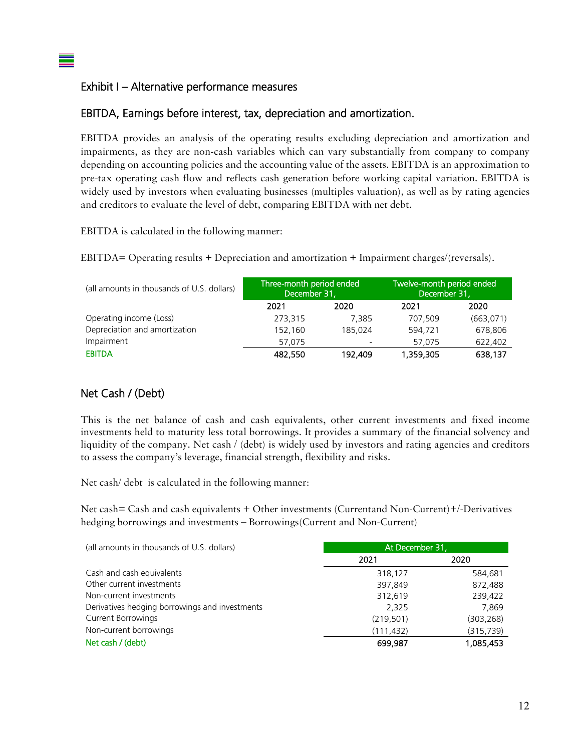#### Exhibit I – Alternative performance measures

#### EBITDA, Earnings before interest, tax, depreciation and amortization.

EBITDA provides an analysis of the operating results excluding depreciation and amortization and impairments, as they are non-cash variables which can vary substantially from company to company depending on accounting policies and the accounting value of the assets. EBITDA is an approximation to pre-tax operating cash flow and reflects cash generation before working capital variation. EBITDA is widely used by investors when evaluating businesses (multiples valuation), as well as by rating agencies and creditors to evaluate the level of debt, comparing EBITDA with net debt.

EBITDA is calculated in the following manner:

EBITDA= Operating results + Depreciation and amortization + Impairment charges/(reversals).

| (all amounts in thousands of U.S. dollars) | Three-month period ended<br>December 31, |         | Twelve-month period ended<br>December 31, |            |  |  |
|--------------------------------------------|------------------------------------------|---------|-------------------------------------------|------------|--|--|
|                                            | 2021                                     | 2020    | 2021                                      | 2020       |  |  |
| Operating income (Loss)                    | 273,315                                  | 7.385   | 707.509                                   | (663, 071) |  |  |
| Depreciation and amortization              | 152,160                                  | 185.024 | 594,721                                   | 678,806    |  |  |
| Impairment                                 | 57.075                                   |         | 57.075                                    | 622,402    |  |  |
| <b>EBITDA</b>                              | 482,550                                  | 192,409 | 1,359,305                                 | 638,137    |  |  |

#### Net Cash / (Debt)

This is the net balance of cash and cash equivalents, other current investments and fixed income investments held to maturity less total borrowings. It provides a summary of the financial solvency and liquidity of the company. Net cash / (debt) is widely used by investors and rating agencies and creditors to assess the company's leverage, financial strength, flexibility and risks.

Net cash/ debt is calculated in the following manner:

Net cash= Cash and cash equivalents + Other investments (Currentand Non-Current)+/-Derivatives hedging borrowings and investments – Borrowings(Current and Non-Current)

| (all amounts in thousands of U.S. dollars)     | At December 31, |           |  |
|------------------------------------------------|-----------------|-----------|--|
|                                                | 2021            | 2020      |  |
| Cash and cash equivalents                      | 318,127         | 584,681   |  |
| Other current investments                      | 397,849         | 872,488   |  |
| Non-current investments                        | 312,619         | 239,422   |  |
| Derivatives hedging borrowings and investments | 2.325           | 7,869     |  |
| <b>Current Borrowings</b>                      | (219,501)       | (303,268) |  |
| Non-current borrowings                         | (111, 432)      | (315,739) |  |
| Net cash / (debt)                              | 699.987         | 1,085,453 |  |